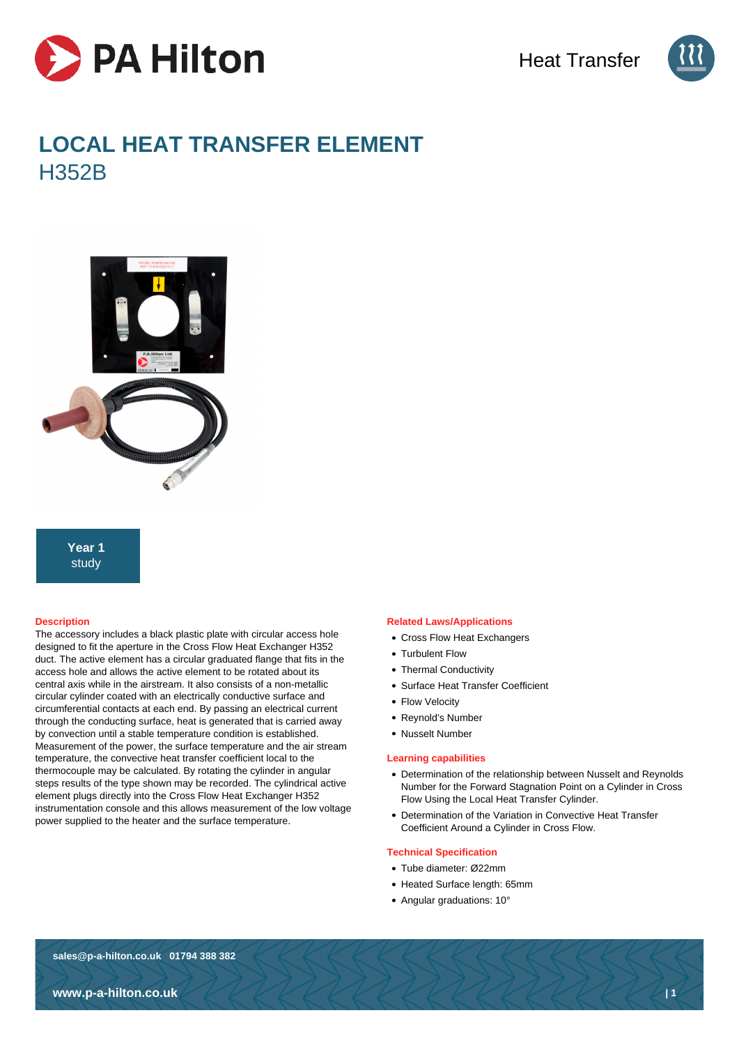



# **LOCAL HEAT TRANSFER ELEMENT H352B**



# **Year 1** study

### **Description**

The accessory includes a black plastic plate with circular access hole designed to fit the aperture in the Cross Flow Heat Exchanger H352 duct. The active element has a circular graduated flange that fits in the access hole and allows the active element to be rotated about its central axis while in the airstream. It also consists of a non-metallic circular cylinder coated with an electrically conductive surface and circumferential contacts at each end. By passing an electrical current through the conducting surface, heat is generated that is carried away by convection until a stable temperature condition is established. Measurement of the power, the surface temperature and the air stream temperature, the convective heat transfer coefficient local to the thermocouple may be calculated. By rotating the cylinder in angular steps results of the type shown may be recorded. The cylindrical active element plugs directly into the Cross Flow Heat Exchanger H352 instrumentation console and this allows measurement of the low voltage power supplied to the heater and the surface temperature.

#### **Related Laws/Applications**

- Cross Flow Heat Exchangers
- Turbulent Flow
- Thermal Conductivity
- Surface Heat Transfer Coefficient
- Flow Velocity
- Reynold's Number
- Nusselt Number

#### **Learning capabilities**

- Determination of the relationship between Nusselt and Reynolds Number for the Forward Stagnation Point on a Cylinder in Cross Flow Using the Local Heat Transfer Cylinder.
- Determination of the Variation in Convective Heat Transfer Coefficient Around a Cylinder in Cross Flow.

#### **Technical Specification**

- Tube diameter: Ø22mm
- Heated Surface length: 65mm
- Angular graduations: 10°